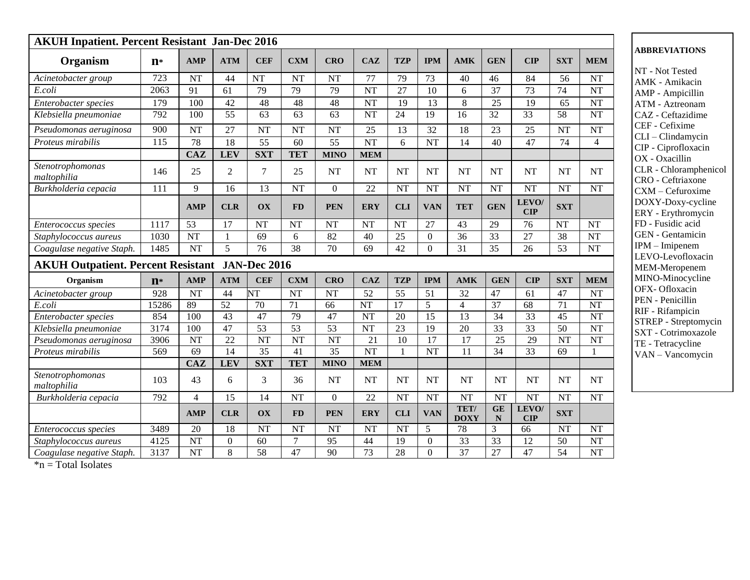| <b>AKUH Inpatient. Percent Resistant Jan-Dec 2016</b>  |                  |                        |                 |                        |                        |                        |                        |                        |                  |                     |                   |                        |                        |                        |
|--------------------------------------------------------|------------------|------------------------|-----------------|------------------------|------------------------|------------------------|------------------------|------------------------|------------------|---------------------|-------------------|------------------------|------------------------|------------------------|
| Organism                                               | $n*$             | <b>AMP</b>             | <b>ATM</b>      | <b>CEF</b>             | <b>CXM</b>             | <b>CRO</b>             | <b>CAZ</b>             | <b>TZP</b>             | <b>IPM</b>       | <b>AMK</b>          | <b>GEN</b>        | CIP                    | <b>SXT</b>             | <b>MEM</b>             |
| Acinetobacter group                                    | 723              | <b>NT</b>              | 44              | <b>NT</b>              | <b>NT</b>              | <b>NT</b>              | 77                     | 79                     | 73               | 40                  | 46                | 84                     | 56                     | <b>NT</b>              |
| E.coli                                                 | 2063             | 91                     | 61              | 79                     | 79                     | 79                     | <b>NT</b>              | 27                     | 10               | 6                   | 37                | 73                     | 74                     | <b>NT</b>              |
| Enterobacter species                                   | 179              | 100                    | 42              | 48                     | 48                     | 48                     | NT                     | 19                     | 13               | $8\,$               | 25                | 19                     | 65                     | <b>NT</b>              |
| Klebsiella pneumoniae                                  | 792              | 100                    | 55              | 63                     | $\overline{63}$        | 63                     | $\rm{NT}$              | 24                     | 19               | $\overline{16}$     | $\overline{32}$   | $\overline{33}$        | 58                     | <b>NT</b>              |
| Pseudomonas aeruginosa                                 | 900              | <b>NT</b>              | 27              | <b>NT</b>              | <b>NT</b>              | <b>NT</b>              | 25                     | 13                     | 32               | 18                  | 23                | 25                     | <b>NT</b>              | <b>NT</b>              |
| Proteus mirabilis                                      | 115              | 78                     | 18              | $\overline{55}$        | 60                     | 55                     | <b>NT</b>              | 6                      | <b>NT</b>        | 14                  | 40                | 47                     | 74                     | $\overline{4}$         |
|                                                        |                  | <b>CAZ</b>             | <b>LEV</b>      | <b>SXT</b>             | <b>TET</b>             | <b>MINO</b>            | <b>MEM</b>             |                        |                  |                     |                   |                        |                        |                        |
| Stenotrophomonas<br>maltophilia                        | 146              | 25                     | 2               | $\tau$                 | 25                     | <b>NT</b>              | $\rm{NT}$              | <b>NT</b>              | <b>NT</b>        | <b>NT</b>           | <b>NT</b>         | <b>NT</b>              | <b>NT</b>              | NT                     |
| Burkholderia cepacia                                   | 111              | 9                      | 16              | 13                     | <b>NT</b>              | $\Omega$               | 22                     | <b>NT</b>              | <b>NT</b>        | <b>NT</b>           | <b>NT</b>         | <b>NT</b>              | <b>NT</b>              | <b>NT</b>              |
|                                                        |                  | <b>AMP</b>             | <b>CLR</b>      | OX                     | <b>FD</b>              | <b>PEN</b>             | <b>ERY</b>             | <b>CLI</b>             | <b>VAN</b>       | <b>TET</b>          | <b>GEN</b>        | LEVO/<br>CIP           | <b>SXT</b>             |                        |
| Enterococcus species                                   | 1117             | 53                     | 17              | <b>NT</b>              | <b>NT</b>              | <b>NT</b>              | <b>NT</b>              | <b>NT</b>              | 27               | 43                  | 29                | 76                     | NT                     | <b>NT</b>              |
| Staphylococcus aureus                                  | 1030             | $\overline{\text{NT}}$ | $\mathbf{1}$    | 69                     | 6                      | $\overline{82}$        | 40                     | 25                     | $\boldsymbol{0}$ | $\overline{36}$     | $\overline{33}$   | $\overline{27}$        | 38                     | <b>NT</b>              |
| Coagulase negative Staph.                              | 1485             | <b>NT</b>              | 5               | 76                     | 38                     | 70                     | 69                     | 42                     | $\Omega$         | 31                  | 35                | 26                     | 53                     | <b>NT</b>              |
| <b>AKUH Outpatient. Percent Resistant JAN-Dec 2016</b> |                  |                        |                 |                        |                        |                        |                        |                        |                  |                     |                   |                        |                        |                        |
| Organism                                               | $n*$             | <b>AMP</b>             | <b>ATM</b>      | <b>CEF</b>             | <b>CXM</b>             | <b>CRO</b>             | <b>CAZ</b>             | <b>TZP</b>             | <b>IPM</b>       | <b>AMK</b>          | <b>GEN</b>        | CIP                    | <b>SXT</b>             | <b>MEM</b>             |
| Acinetobacter group                                    | $\overline{928}$ | <b>NT</b>              | $\overline{44}$ | $\overline{\text{NT}}$ | $\overline{\text{NT}}$ | <b>NT</b>              | $\overline{52}$        | $\overline{55}$        | $\overline{51}$  | $\overline{32}$     | 47                | $\overline{61}$        | 47                     | <b>NT</b>              |
| E.coli                                                 | 15286            | 89                     | $\overline{52}$ | 70                     | 71                     | $\overline{66}$        | $\overline{\text{NT}}$ | $\overline{17}$        | $\overline{5}$   | $\overline{4}$      | $\overline{37}$   | $\overline{68}$        | $\overline{71}$        | <b>NT</b>              |
| Enterobacter species                                   | 854              | 100                    | 43              | 47                     | 79                     | 47                     | <b>NT</b>              | 20                     | 15               | $\overline{13}$     | 34                | $\overline{33}$        | 45                     | <b>NT</b>              |
| Klebsiella pneumoniae                                  | 3174             | 100                    | 47              | $\overline{53}$        | 53                     | 53                     | $\overline{\text{NT}}$ | $\overline{23}$        | $\overline{19}$  | $\overline{20}$     | $\overline{33}$   | $\overline{33}$        | $\overline{50}$        | $\overline{\text{NT}}$ |
| Pseudomonas aeruginosa                                 | 3906             | <b>NT</b>              | 22              | <b>NT</b>              | <b>NT</b>              | <b>NT</b>              | 21                     | 10                     | 17               | 17                  | 25                | 29                     | <b>NT</b>              | <b>NT</b>              |
| Proteus mirabilis                                      | 569              | 69                     | $\overline{14}$ | $\overline{35}$        | $\overline{41}$        | $\overline{35}$        | NT                     | 1                      | <b>NT</b>        | 11                  | $\overline{34}$   | $\overline{33}$        | 69                     | 1                      |
|                                                        |                  | <b>CAZ</b>             | <b>LEV</b>      | <b>SXT</b>             | <b>TET</b>             | <b>MINO</b>            | <b>MEM</b>             |                        |                  |                     |                   |                        |                        |                        |
| Stenotrophomonas<br>maltophilia                        | 103              | 43                     | 6               | $\overline{3}$         | 36                     | <b>NT</b>              | <b>NT</b>              | <b>NT</b>              | <b>NT</b>        | <b>NT</b>           | <b>NT</b>         | <b>NT</b>              | <b>NT</b>              | <b>NT</b>              |
| Burkholderia cepacia                                   | 792              | $\overline{4}$         | $\overline{15}$ | 14                     | <b>NT</b>              | $\overline{0}$         | $\overline{22}$        | <b>NT</b>              | NT               | <b>NT</b>           | <b>NT</b>         | $\overline{\text{NT}}$ | $\overline{\text{NT}}$ | <b>NT</b>              |
|                                                        |                  | <b>AMP</b>             | <b>CLR</b>      | OX                     | <b>FD</b>              | <b>PEN</b>             | <b>ERY</b>             | <b>CLI</b>             | <b>VAN</b>       | TET/<br><b>DOXY</b> | GE<br>$\mathbb N$ | LEVO/<br><b>CIP</b>    | <b>SXT</b>             |                        |
| Enterococcus species                                   | 3489             | $\overline{20}$        | $\overline{18}$ | NT                     | $\overline{\text{NT}}$ | $\overline{\text{NT}}$ | NT                     | $\overline{\text{NT}}$ | 5                | 78                  | 3                 | 66                     | $\overline{\text{NT}}$ | $\overline{\text{NT}}$ |
| Staphylococcus aureus                                  | 4125             | <b>NT</b>              | $\mathbf{0}$    | 60                     | $\overline{7}$         | 95                     | 44                     | 19                     | $\theta$         | 33                  | 33                | 12                     | 50                     | <b>NT</b>              |
| Coagulase negative Staph.                              | 3137             | <b>NT</b>              | $\overline{8}$  | $\overline{58}$        | $\overline{47}$        | $\overline{90}$        | $\overline{73}$        | $\overline{28}$        | $\overline{0}$   | 37                  | $\overline{27}$   | 47                     | $\overline{54}$        | $\overline{\text{NT}}$ |

 $*<sub>n</sub>$  = Total Isolates

## **ABBREVIATIONS**

NT - Not Tested AMK - Amikacin AMP - Ampicillin ATM - Aztreonam CAZ - Ceftazidime CEF - Cefixime CLI – Clindamycin CIP - Ciprofloxacin OX - Oxacillin CLR - Chloramphenicol CRO - Ceftriaxone CXM – Cefuroxime DOXY-Doxy-cycline ERY - Erythromycin FD - Fusidic acid GEN - Gentamicin IPM – Imipenem LEVO-Levofloxacin MEM-Meropenem MINO-Minocycline OFX- Ofloxacin PEN - Penicillin RIF - Rifampicin STREP - Streptomycin SXT - Cotrimoxazole TE - Tetracycline VAN – Vancomycin